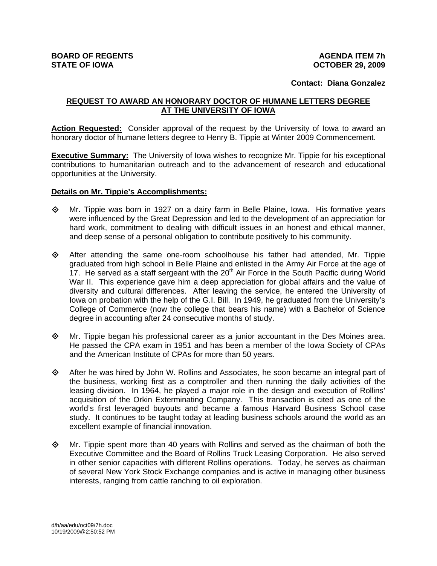## **Contact: Diana Gonzalez**

## **REQUEST TO AWARD AN HONORARY DOCTOR OF HUMANE LETTERS DEGREE AT THE UNIVERSITY OF IOWA**

**Action Requested:** Consider approval of the request by the University of Iowa to award an honorary doctor of humane letters degree to Henry B. Tippie at Winter 2009 Commencement.

**Executive Summary:** The University of Iowa wishes to recognize Mr. Tippie for his exceptional contributions to humanitarian outreach and to the advancement of research and educational opportunities at the University.

## **Details on Mr. Tippie's Accomplishments:**

- $\Diamond$  Mr. Tippie was born in 1927 on a dairy farm in Belle Plaine, Iowa. His formative years were influenced by the Great Depression and led to the development of an appreciation for hard work, commitment to dealing with difficult issues in an honest and ethical manner, and deep sense of a personal obligation to contribute positively to his community.
- $\Leftrightarrow$  After attending the same one-room schoolhouse his father had attended, Mr. Tippie graduated from high school in Belle Plaine and enlisted in the Army Air Force at the age of 17. He served as a staff sergeant with the  $20<sup>th</sup>$  Air Force in the South Pacific during World War II. This experience gave him a deep appreciation for global affairs and the value of diversity and cultural differences. After leaving the service, he entered the University of Iowa on probation with the help of the G.I. Bill. In 1949, he graduated from the University's College of Commerce (now the college that bears his name) with a Bachelor of Science degree in accounting after 24 consecutive months of study.
- $\diamond$  Mr. Tippie began his professional career as a junior accountant in the Des Moines area. He passed the CPA exam in 1951 and has been a member of the Iowa Society of CPAs and the American Institute of CPAs for more than 50 years.
- $\diamond$  After he was hired by John W. Rollins and Associates, he soon became an integral part of the business, working first as a comptroller and then running the daily activities of the leasing division. In 1964, he played a major role in the design and execution of Rollins' acquisition of the Orkin Exterminating Company. This transaction is cited as one of the world's first leveraged buyouts and became a famous Harvard Business School case study. It continues to be taught today at leading business schools around the world as an excellent example of financial innovation.
- $\Diamond$  Mr. Tippie spent more than 40 years with Rollins and served as the chairman of both the Executive Committee and the Board of Rollins Truck Leasing Corporation. He also served in other senior capacities with different Rollins operations. Today, he serves as chairman of several New York Stock Exchange companies and is active in managing other business interests, ranging from cattle ranching to oil exploration.